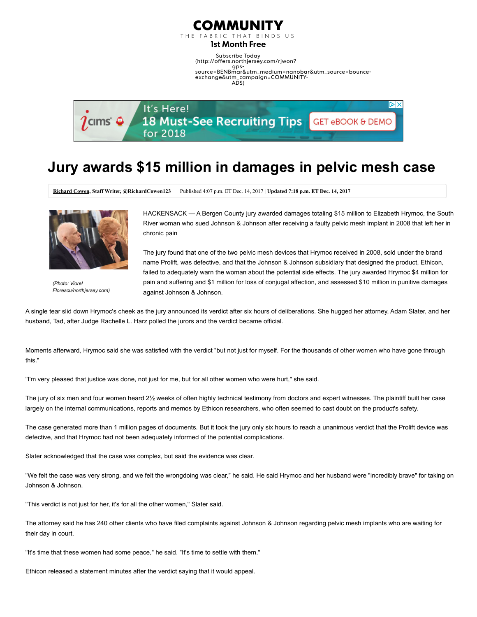

THE FARRIC THAT BINDS US

1st Month Free

Subscribe Today (http://offers.northjersey.com/rjwon? gps-[source=BENBmar&utm\\_medium=nanobar&utm\\_source=bounce](http://offers.northjersey.com/rjwon?gps-source=BENBmar&utm_medium=nanobar&utm_source=bounce-exchange&utm_campaign=COMMUNITY-ADS)exchange&utm\_campaign=COMMUNITY-ADS)



## Jury awards \$15 million in damages in pelvic mesh case

[Richard Cowen,](http://www.northjersey.com/staff/10055234/richard-cowen/) Staff Writer, @RichardCowen123 Published 4:07 p.m. ET Dec. 14, 2017 | Updated 7:18 p.m. ET Dec. 14, 2017



(Photo: Viorel Florescu/northjersey.com)

HACKENSACK — A Bergen County jury awarded damages totaling \$15 million to Elizabeth Hrymoc, the South River woman who sued Johnson & Johnson after receiving a faulty pelvic mesh implant in 2008 that left her in chronic pain

The jury found that one of the two pelvic mesh devices that Hrymoc received in 2008, sold under the brand name Prolift, was defective, and that the Johnson & Johnson subsidiary that designed the product, Ethicon, failed to adequately warn the woman about the potential side effects. The jury awarded Hrymoc \$4 million for pain and suffering and \$1 million for loss of conjugal affection, and assessed \$10 million in punitive damages against Johnson & Johnson.

A single tear slid down Hrymoc's cheek as the jury announced its verdict after six hours of deliberations. She hugged her attorney, Adam Slater, and her husband, Tad, after Judge Rachelle L. Harz polled the jurors and the verdict became official.

Moments afterward, Hrymoc said she was satisfied with the verdict "but not just for myself. For the thousands of other women who have gone through this."

"I'm very pleased that justice was done, not just for me, but for all other women who were hurt," she said.

The jury of six men and four women heard 2½ weeks of often highly technical testimony from doctors and expert witnesses. The plaintiff built her case largely on the internal communications, reports and memos by Ethicon researchers, who often seemed to cast doubt on the product's safety.

The case generated more than 1 million pages of documents. But it took the jury only six hours to reach a unanimous verdict that the Prolift device was defective, and that Hrymoc had not been adequately informed of the potential complications.

Slater acknowledged that the case was complex, but said the evidence was clear.

"We felt the case was very strong, and we felt the wrongdoing was clear," he said. He said Hrymoc and her husband were "incredibly brave" for taking on Johnson & Johnson.

"This verdict is not just for her, it's for all the other women," Slater said.

The attorney said he has 240 other clients who have filed complaints against Johnson & Johnson regarding pelvic mesh implants who are waiting for their day in court.

"It's time that these women had some peace," he said. "It's time to settle with them."

Ethicon released a statement minutes after the verdict saying that it would appeal.